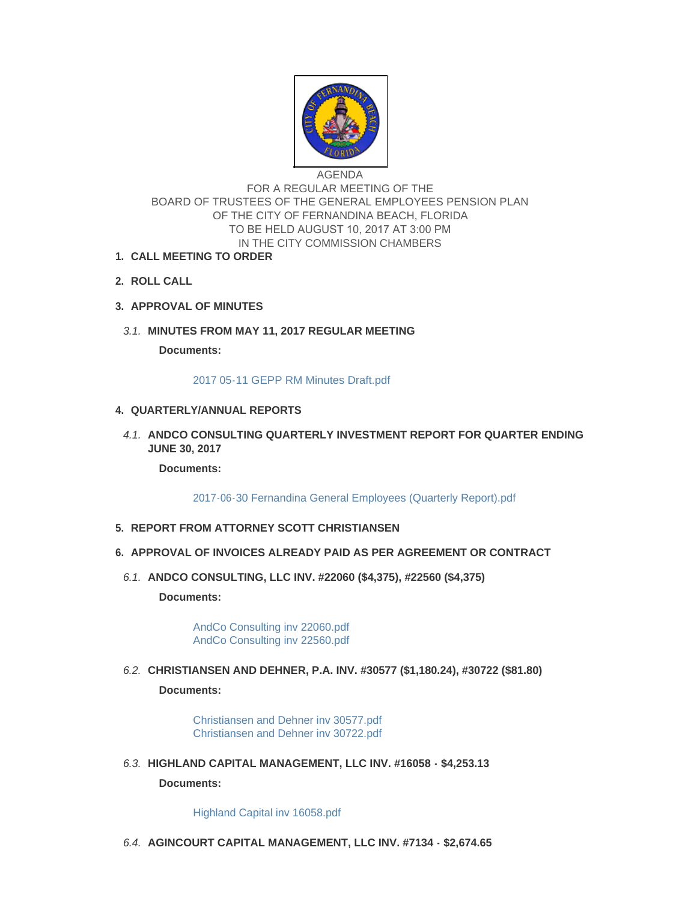

AGENDA FOR A REGULAR MEETING OF THE BOARD OF TRUSTEES OF THE GENERAL EMPLOYEES PENSION PLAN OF THE CITY OF FERNANDINA BEACH, FLORIDA TO BE HELD AUGUST 10, 2017 AT 3:00 PM IN THE CITY COMMISSION CHAMBERS

- **CALL MEETING TO ORDER 1.**
- **ROLL CALL 2.**
- **APPROVAL OF MINUTES 3.**
- **MINUTES FROM MAY 11, 2017 REGULAR MEETING** *3.1.*

**Documents:**

[2017 05-11 GEPP RM Minutes Draft.pdf](http://www.fbfl.us/AgendaCenter/ViewFile/Item/8075?fileID=5200)

# **QUARTERLY/ANNUAL REPORTS 4.**

**A.1. ANDCO CONSULTING QUARTERLY INVESTMENT REPORT FOR QUARTER ENDING JUNE 30, 2017**

**Documents:**

[2017-06-30 Fernandina General Employees \(Quarterly Report\).pdf](http://www.fbfl.us/AgendaCenter/ViewFile/Item/8076?fileID=5202)

- **REPORT FROM ATTORNEY SCOTT CHRISTIANSEN 5.**
- **APPROVAL OF INVOICES ALREADY PAID AS PER AGREEMENT OR CONTRACT 6.**
	- **ANDCO CONSULTING, LLC INV. #22060 (\$4,375), #22560 (\$4,375)** *6.1.*

**Documents:**

[AndCo Consulting inv 22060.pdf](http://www.fbfl.us/AgendaCenter/ViewFile/Item/8077?fileID=5177) [AndCo Consulting inv 22560.pdf](http://www.fbfl.us/AgendaCenter/ViewFile/Item/8077?fileID=5178)

**CHRISTIANSEN AND DEHNER, P.A. INV. #30577 (\$1,180.24), #30722 (\$81.80)** *6.2.* **Documents:**

> [Christiansen and Dehner inv 30577.pdf](http://www.fbfl.us/AgendaCenter/ViewFile/Item/8078?fileID=5199) [Christiansen and Dehner inv 30722.pdf](http://www.fbfl.us/AgendaCenter/ViewFile/Item/8078?fileID=5179)

**HIGHLAND CAPITAL MANAGEMENT, LLC INV. #16058 - \$4,253.13** *6.3.*

**Documents:**

[Highland Capital inv 16058.pdf](http://www.fbfl.us/AgendaCenter/ViewFile/Item/8079?fileID=5180)

**AGINCOURT CAPITAL MANAGEMENT, LLC INV. #7134 - \$2,674.65** *6.4.*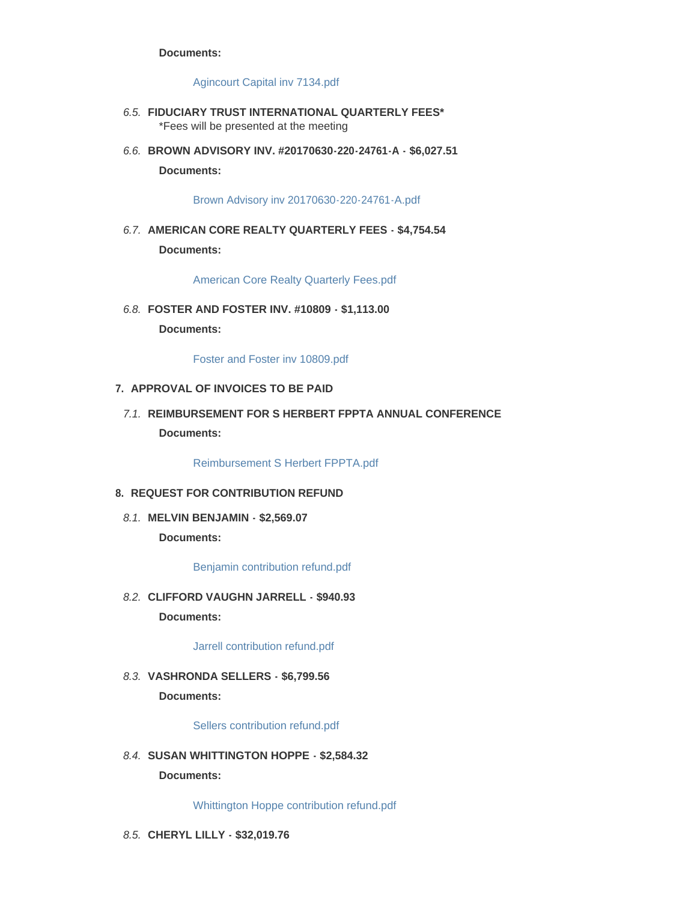#### **Documents:**

#### [Agincourt Capital inv 7134.pdf](http://www.fbfl.us/AgendaCenter/ViewFile/Item/8080?fileID=5181)

- **FIDUCIARY TRUST INTERNATIONAL QUARTERLY FEES\*** *6.5.* \*Fees will be presented at the meeting
- **BROWN ADVISORY INV. #20170630-220-24761-A \$6,027.51** *6.6.* **Documents:**

[Brown Advisory inv 20170630-220-24761-A.pdf](http://www.fbfl.us/AgendaCenter/ViewFile/Item/8082?fileID=5182)

**AMERICAN CORE REALTY QUARTERLY FEES - \$4,754.54** *6.7.* **Documents:**

[American Core Realty Quarterly Fees.pdf](http://www.fbfl.us/AgendaCenter/ViewFile/Item/8083?fileID=5183)

**FOSTER AND FOSTER INV. #10809 - \$1,113.00** *6.8.* **Documents:**

[Foster and Foster inv 10809.pdf](http://www.fbfl.us/AgendaCenter/ViewFile/Item/8109?fileID=5198)

## **APPROVAL OF INVOICES TO BE PAID 7.**

7.1. REIMBURSEMENT FOR S HERBERT FPPTA ANNUAL CONFERENCE **Documents:**

[Reimbursement S Herbert FPPTA.pdf](http://www.fbfl.us/AgendaCenter/ViewFile/Item/8084?fileID=5184)

- **REQUEST FOR CONTRIBUTION REFUND 8.**
- **MELVIN BENJAMIN \$2,569.07** *8.1.* **Documents:**

[Benjamin contribution refund.pdf](http://www.fbfl.us/AgendaCenter/ViewFile/Item/8085?fileID=5185)

**CLIFFORD VAUGHN JARRELL - \$940.93** *8.2.* **Documents:**

[Jarrell contribution refund.pdf](http://www.fbfl.us/AgendaCenter/ViewFile/Item/8086?fileID=5186)

**VASHRONDA SELLERS - \$6,799.56** *8.3.* **Documents:**

[Sellers contribution refund.pdf](http://www.fbfl.us/AgendaCenter/ViewFile/Item/8087?fileID=5187)

**SUSAN WHITTINGTON HOPPE - \$2,584.32** *8.4.* **Documents:**

[Whittington Hoppe contribution refund.pdf](http://www.fbfl.us/AgendaCenter/ViewFile/Item/8088?fileID=5188)

**CHERYL LILLY - \$32,019.76** *8.5.*